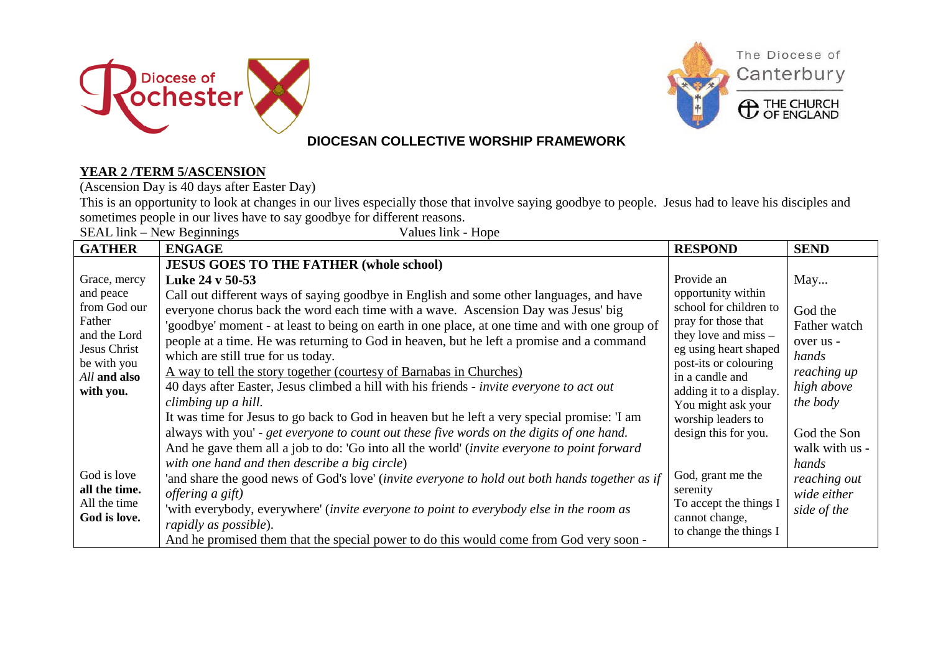



#### **DIOCESAN COLLECTIVE WORSHIP FRAMEWORK**

#### **YEAR 2 /TERM 5/ASCENSION**

(Ascension Day is 40 days after Easter Day)

This is an opportunity to look at changes in our lives especially those that involve saying goodbye to people. Jesus had to leave his disciples and sometimes people in our lives have to say goodbye for different reasons.

| SEAL link – New Beginnings<br>Values link - Hope                                   |                                                                                                                                                                                                                                                                                                                                                                                                                                                                                                                                                                                                                                                                                     |                                                                                                                                                                                                                                   |                                                                                      |  |
|------------------------------------------------------------------------------------|-------------------------------------------------------------------------------------------------------------------------------------------------------------------------------------------------------------------------------------------------------------------------------------------------------------------------------------------------------------------------------------------------------------------------------------------------------------------------------------------------------------------------------------------------------------------------------------------------------------------------------------------------------------------------------------|-----------------------------------------------------------------------------------------------------------------------------------------------------------------------------------------------------------------------------------|--------------------------------------------------------------------------------------|--|
| <b>GATHER</b>                                                                      | <b>ENGAGE</b>                                                                                                                                                                                                                                                                                                                                                                                                                                                                                                                                                                                                                                                                       | <b>RESPOND</b>                                                                                                                                                                                                                    | <b>SEND</b>                                                                          |  |
| Grace, mercy<br>and peace<br>from God our                                          | <b>JESUS GOES TO THE FATHER (whole school)</b><br>Luke 24 v 50-53<br>Call out different ways of saying goodbye in English and some other languages, and have<br>everyone chorus back the word each time with a wave. Ascension Day was Jesus' big                                                                                                                                                                                                                                                                                                                                                                                                                                   | Provide an<br>opportunity within<br>school for children to<br>pray for those that<br>they love and miss $-$<br>eg using heart shaped<br>post-its or colouring<br>in a candle and<br>adding it to a display.<br>You might ask your | May<br>God the                                                                       |  |
| Father<br>and the Lord<br>Jesus Christ<br>be with you<br>All and also<br>with you. | 'goodbye' moment - at least to being on earth in one place, at one time and with one group of<br>people at a time. He was returning to God in heaven, but he left a promise and a command<br>which are still true for us today.<br><u>A way to tell the story together (courtesy of Barnabas in Churches)</u><br>40 days after Easter, Jesus climbed a hill with his friends - invite everyone to act out<br>climbing up a hill.                                                                                                                                                                                                                                                    |                                                                                                                                                                                                                                   | Father watch<br>over us -<br>hands<br>reaching up<br>high above<br>the body          |  |
| God is love<br>all the time.<br>All the time<br>God is love.                       | It was time for Jesus to go back to God in heaven but he left a very special promise: 'I am<br>always with you' - get everyone to count out these five words on the digits of one hand.<br>And he gave them all a job to do: 'Go into all the world' (invite everyone to point forward<br>with one hand and then describe a big circle)<br>'and share the good news of God's love' (invite everyone to hold out both hands together as if<br><i>offering a gift</i> )<br>'with everybody, everywhere' (invite everyone to point to everybody else in the room as<br>rapidly as possible).<br>And he promised them that the special power to do this would come from God very soon - | worship leaders to<br>design this for you.<br>God, grant me the<br>serenity<br>To accept the things I<br>cannot change,<br>to change the things I                                                                                 | God the Son<br>walk with us -<br>hands<br>reaching out<br>wide either<br>side of the |  |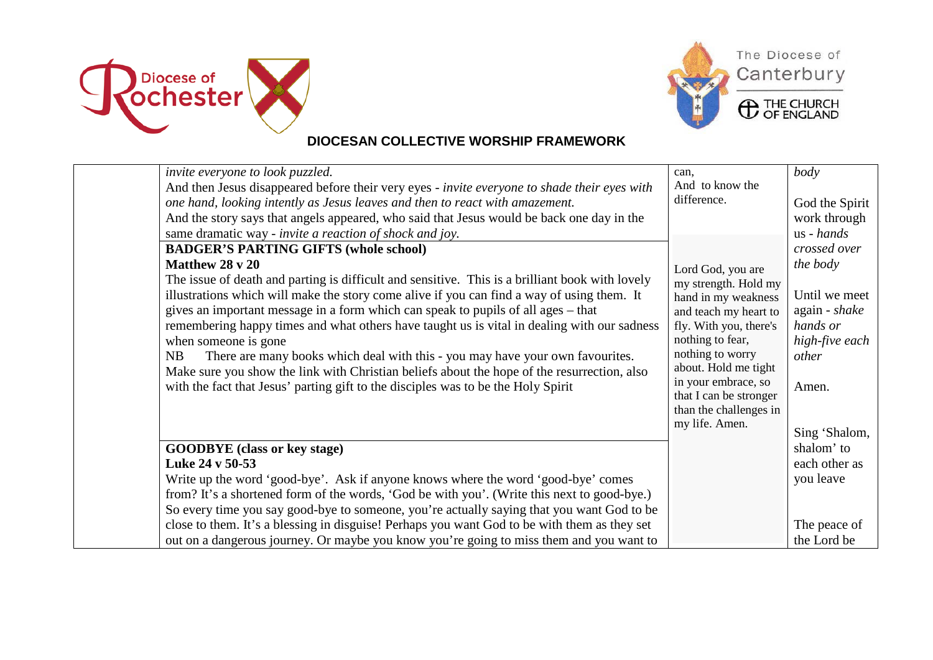





**ED** THE CHURCH

## **DIOCESAN COLLECTIVE WORSHIP FRAMEWORK**

| invite everyone to look puzzled.<br>And then Jesus disappeared before their very eyes - invite everyone to shade their eyes with<br>one hand, looking intently as Jesus leaves and then to react with amazement.<br>And the story says that angels appeared, who said that Jesus would be back one day in the<br>same dramatic way - invite a reaction of shock and joy.<br><b>BADGER'S PARTING GIFTS (whole school)</b><br>Matthew 28 v 20<br>The issue of death and parting is difficult and sensitive. This is a brilliant book with lovely<br>illustrations which will make the story come alive if you can find a way of using them. It<br>gives an important message in a form which can speak to pupils of all ages – that<br>remembering happy times and what others have taught us is vital in dealing with our sadness<br>when someone is gone<br>There are many books which deal with this - you may have your own favourites.<br>NB<br>Make sure you show the link with Christian beliefs about the hope of the resurrection, also<br>with the fact that Jesus' parting gift to the disciples was to be the Holy Spirit | can.<br>And to know the<br>difference.<br>Lord God, you are<br>my strength. Hold my<br>hand in my weakness<br>and teach my heart to<br>fly. With you, there's<br>nothing to fear,<br>nothing to worry<br>about. Hold me tight<br>in your embrace, so<br>that I can be stronger<br>than the challenges in<br>my life. Amen. | body<br>God the Spirit<br>work through<br>us - hands<br>crossed over<br>the body<br>Until we meet<br>again - shake<br>hands or<br>high-five each<br>other<br>Amen.<br>Sing 'Shalom, |
|-------------------------------------------------------------------------------------------------------------------------------------------------------------------------------------------------------------------------------------------------------------------------------------------------------------------------------------------------------------------------------------------------------------------------------------------------------------------------------------------------------------------------------------------------------------------------------------------------------------------------------------------------------------------------------------------------------------------------------------------------------------------------------------------------------------------------------------------------------------------------------------------------------------------------------------------------------------------------------------------------------------------------------------------------------------------------------------------------------------------------------------|----------------------------------------------------------------------------------------------------------------------------------------------------------------------------------------------------------------------------------------------------------------------------------------------------------------------------|-------------------------------------------------------------------------------------------------------------------------------------------------------------------------------------|
| <b>GOODBYE</b> (class or key stage)<br>Luke 24 v 50-53<br>Write up the word 'good-bye'. Ask if anyone knows where the word 'good-bye' comes<br>from? It's a shortened form of the words, 'God be with you'. (Write this next to good-bye.)<br>So every time you say good-bye to someone, you're actually saying that you want God to be<br>close to them. It's a blessing in disguise! Perhaps you want God to be with them as they set<br>out on a dangerous journey. Or maybe you know you're going to miss them and you want to                                                                                                                                                                                                                                                                                                                                                                                                                                                                                                                                                                                                  |                                                                                                                                                                                                                                                                                                                            | shalom' to<br>each other as<br>you leave<br>The peace of<br>the Lord be                                                                                                             |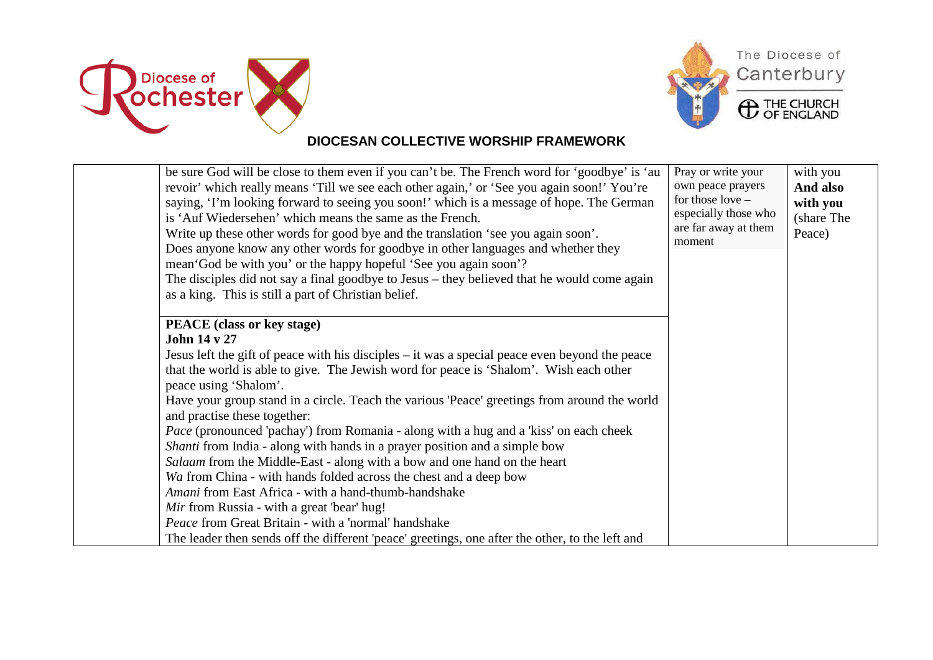





**ED** THE CHURCH

### **DIOCESAN COLLECTIVE WORSHIP FRAMEWORK**

| be sure God will be close to them even if you can't be. The French word for 'goodbye' is 'au<br>revoir' which really means 'Till we see each other again,' or 'See you again soon!' You're<br>saying, 'I'm looking forward to seeing you soon!' which is a message of hope. The German<br>is 'Auf Wiedersehen' which means the same as the French.<br>Write up these other words for good bye and the translation 'see you again soon'.<br>Does anyone know any other words for goodbye in other languages and whether they<br>mean God be with you' or the happy hopeful 'See you again soon'?<br>The disciples did not say a final goodbye to Jesus – they believed that he would come again<br>as a king. This is still a part of Christian belief. | Pray or write your<br>own peace prayers<br>for those $love -$<br>especially those who<br>are far away at them<br>moment | with you<br>And also<br>with you<br>(share The<br>Peace) |
|--------------------------------------------------------------------------------------------------------------------------------------------------------------------------------------------------------------------------------------------------------------------------------------------------------------------------------------------------------------------------------------------------------------------------------------------------------------------------------------------------------------------------------------------------------------------------------------------------------------------------------------------------------------------------------------------------------------------------------------------------------|-------------------------------------------------------------------------------------------------------------------------|----------------------------------------------------------|
| <b>PEACE</b> (class or key stage)                                                                                                                                                                                                                                                                                                                                                                                                                                                                                                                                                                                                                                                                                                                      |                                                                                                                         |                                                          |
| <b>John 14 v 27</b>                                                                                                                                                                                                                                                                                                                                                                                                                                                                                                                                                                                                                                                                                                                                    |                                                                                                                         |                                                          |
| Jesus left the gift of peace with his disciples – it was a special peace even beyond the peace                                                                                                                                                                                                                                                                                                                                                                                                                                                                                                                                                                                                                                                         |                                                                                                                         |                                                          |
| that the world is able to give. The Jewish word for peace is 'Shalom'. Wish each other<br>peace using 'Shalom'.                                                                                                                                                                                                                                                                                                                                                                                                                                                                                                                                                                                                                                        |                                                                                                                         |                                                          |
| Have your group stand in a circle. Teach the various 'Peace' greetings from around the world<br>and practise these together:                                                                                                                                                                                                                                                                                                                                                                                                                                                                                                                                                                                                                           |                                                                                                                         |                                                          |
| <i>Pace</i> (pronounced 'pachay') from Romania - along with a hug and a 'kiss' on each cheek                                                                                                                                                                                                                                                                                                                                                                                                                                                                                                                                                                                                                                                           |                                                                                                                         |                                                          |
| <i>Shanti</i> from India - along with hands in a prayer position and a simple bow                                                                                                                                                                                                                                                                                                                                                                                                                                                                                                                                                                                                                                                                      |                                                                                                                         |                                                          |
| Salaam from the Middle-East - along with a bow and one hand on the heart                                                                                                                                                                                                                                                                                                                                                                                                                                                                                                                                                                                                                                                                               |                                                                                                                         |                                                          |
| Wa from China - with hands folded across the chest and a deep bow                                                                                                                                                                                                                                                                                                                                                                                                                                                                                                                                                                                                                                                                                      |                                                                                                                         |                                                          |
| Amani from East Africa - with a hand-thumb-handshake                                                                                                                                                                                                                                                                                                                                                                                                                                                                                                                                                                                                                                                                                                   |                                                                                                                         |                                                          |
| Mir from Russia - with a great 'bear' hug!                                                                                                                                                                                                                                                                                                                                                                                                                                                                                                                                                                                                                                                                                                             |                                                                                                                         |                                                          |
| Peace from Great Britain - with a 'normal' handshake                                                                                                                                                                                                                                                                                                                                                                                                                                                                                                                                                                                                                                                                                                   |                                                                                                                         |                                                          |
| The leader then sends off the different 'peace' greetings, one after the other, to the left and                                                                                                                                                                                                                                                                                                                                                                                                                                                                                                                                                                                                                                                        |                                                                                                                         |                                                          |